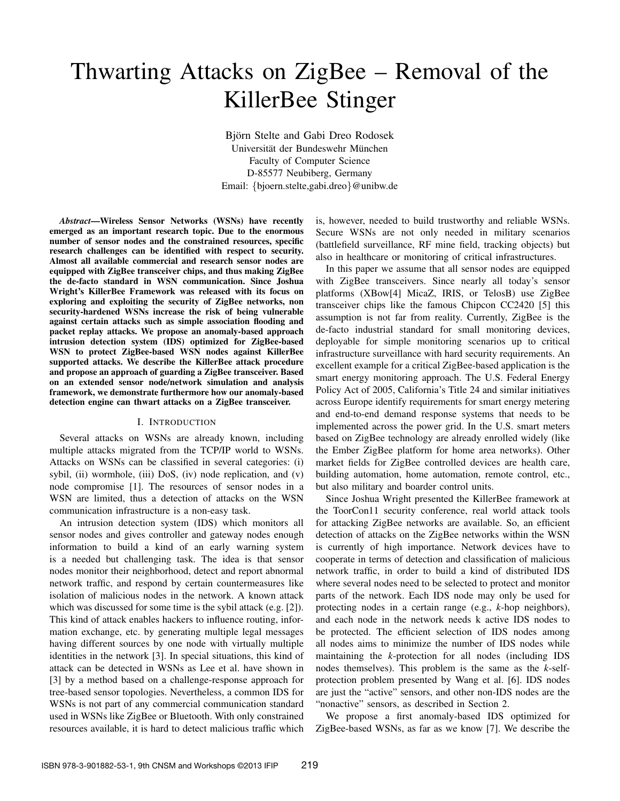# Thwarting Attacks on ZigBee – Removal of the KillerBee Stinger

Björn Stelte and Gabi Dreo Rodosek Universität der Bundeswehr München Faculty of Computer Science D-85577 Neubiberg, Germany Email: {bjoern.stelte,gabi.dreo}@unibw.de

*Abstract*—Wireless Sensor Networks (WSNs) have recently emerged as an important research topic. Due to the enormous number of sensor nodes and the constrained resources, specific research challenges can be identified with respect to security. Almost all available commercial and research sensor nodes are equipped with ZigBee transceiver chips, and thus making ZigBee the de-facto standard in WSN communication. Since Joshua Wright's KillerBee Framework was released with its focus on exploring and exploiting the security of ZigBee networks, non security-hardened WSNs increase the risk of being vulnerable against certain attacks such as simple association flooding and packet replay attacks. We propose an anomaly-based approach intrusion detection system (IDS) optimized for ZigBee-based WSN to protect ZigBee-based WSN nodes against KillerBee supported attacks. We describe the KillerBee attack procedure and propose an approach of guarding a ZigBee transceiver. Based on an extended sensor node/network simulation and analysis framework, we demonstrate furthermore how our anomaly-based detection engine can thwart attacks on a ZigBee transceiver.

# I. INTRODUCTION

Several attacks on WSNs are already known, including multiple attacks migrated from the TCP/IP world to WSNs. Attacks on WSNs can be classified in several categories: (i) sybil, (ii) wormhole, (iii) DoS, (iv) node replication, and (v) node compromise [1]. The resources of sensor nodes in a WSN are limited, thus a detection of attacks on the WSN communication infrastructure is a non-easy task.

An intrusion detection system (IDS) which monitors all sensor nodes and gives controller and gateway nodes enough information to build a kind of an early warning system is a needed but challenging task. The idea is that sensor nodes monitor their neighborhood, detect and report abnormal network traffic, and respond by certain countermeasures like isolation of malicious nodes in the network. A known attack which was discussed for some time is the sybil attack (e.g. [2]). This kind of attack enables hackers to influence routing, information exchange, etc. by generating multiple legal messages having different sources by one node with virtually multiple identities in the network [3]. In special situations, this kind of attack can be detected in WSNs as Lee et al. have shown in [3] by a method based on a challenge-response approach for tree-based sensor topologies. Nevertheless, a common IDS for WSNs is not part of any commercial communication standard used in WSNs like ZigBee or Bluetooth. With only constrained resources available, it is hard to detect malicious traffic which is, however, needed to build trustworthy and reliable WSNs. Secure WSNs are not only needed in military scenarios (battlefield surveillance, RF mine field, tracking objects) but also in healthcare or monitoring of critical infrastructures.

In this paper we assume that all sensor nodes are equipped with ZigBee transceivers. Since nearly all today's sensor platforms (XBow[4] MicaZ, IRIS, or TelosB) use ZigBee transceiver chips like the famous Chipcon CC2420 [5] this assumption is not far from reality. Currently, ZigBee is the de-facto industrial standard for small monitoring devices, deployable for simple monitoring scenarios up to critical infrastructure surveillance with hard security requirements. An excellent example for a critical ZigBee-based application is the smart energy monitoring approach. The U.S. Federal Energy Policy Act of 2005, California's Title 24 and similar initiatives across Europe identify requirements for smart energy metering and end-to-end demand response systems that needs to be implemented across the power grid. In the U.S. smart meters based on ZigBee technology are already enrolled widely (like the Ember ZigBee platform for home area networks). Other market fields for ZigBee controlled devices are health care, building automation, home automation, remote control, etc., but also military and boarder control units.

Since Joshua Wright presented the KillerBee framework at the ToorCon11 security conference, real world attack tools for attacking ZigBee networks are available. So, an efficient detection of attacks on the ZigBee networks within the WSN is currently of high importance. Network devices have to cooperate in terms of detection and classification of malicious network traffic, in order to build a kind of distributed IDS where several nodes need to be selected to protect and monitor parts of the network. Each IDS node may only be used for protecting nodes in a certain range (e.g., *k*-hop neighbors), and each node in the network needs k active IDS nodes to be protected. The efficient selection of IDS nodes among all nodes aims to minimize the number of IDS nodes while maintaining the *k*-protection for all nodes (including IDS nodes themselves). This problem is the same as the *k*-selfprotection problem presented by Wang et al. [6]. IDS nodes are just the "active" sensors, and other non-IDS nodes are the "nonactive" sensors, as described in Section 2.

We propose a first anomaly-based IDS optimized for ZigBee-based WSNs, as far as we know [7]. We describe the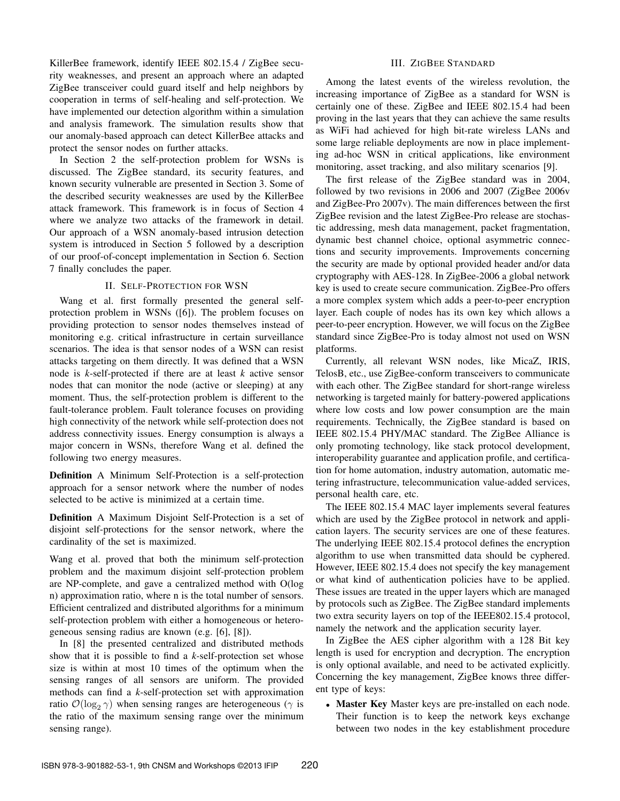KillerBee framework, identify IEEE 802.15.4 / ZigBee security weaknesses, and present an approach where an adapted ZigBee transceiver could guard itself and help neighbors by cooperation in terms of self-healing and self-protection. We have implemented our detection algorithm within a simulation and analysis framework. The simulation results show that our anomaly-based approach can detect KillerBee attacks and protect the sensor nodes on further attacks.

In Section 2 the self-protection problem for WSNs is discussed. The ZigBee standard, its security features, and known security vulnerable are presented in Section 3. Some of the described security weaknesses are used by the KillerBee attack framework. This framework is in focus of Section 4 where we analyze two attacks of the framework in detail. Our approach of a WSN anomaly-based intrusion detection system is introduced in Section 5 followed by a description of our proof-of-concept implementation in Section 6. Section 7 finally concludes the paper.

# II. SELF-PROTECTION FOR WSN

Wang et al. first formally presented the general selfprotection problem in WSNs ([6]). The problem focuses on providing protection to sensor nodes themselves instead of monitoring e.g. critical infrastructure in certain surveillance scenarios. The idea is that sensor nodes of a WSN can resist attacks targeting on them directly. It was defined that a WSN node is *k*-self-protected if there are at least *k* active sensor nodes that can monitor the node (active or sleeping) at any moment. Thus, the self-protection problem is different to the fault-tolerance problem. Fault tolerance focuses on providing high connectivity of the network while self-protection does not address connectivity issues. Energy consumption is always a major concern in WSNs, therefore Wang et al. defined the following two energy measures.

Definition A Minimum Self-Protection is a self-protection approach for a sensor network where the number of nodes selected to be active is minimized at a certain time.

Definition A Maximum Disjoint Self-Protection is a set of disjoint self-protections for the sensor network, where the cardinality of the set is maximized.

Wang et al. proved that both the minimum self-protection problem and the maximum disjoint self-protection problem are NP-complete, and gave a centralized method with O(log n) approximation ratio, where n is the total number of sensors. Efficient centralized and distributed algorithms for a minimum self-protection problem with either a homogeneous or heterogeneous sensing radius are known (e.g. [6], [8]).

In [8] the presented centralized and distributed methods show that it is possible to find a *k-*self-protection set whose size is within at most 10 times of the optimum when the sensing ranges of all sensors are uniform. The provided methods can find a *k*-self-protection set with approximation ratio  $\mathcal{O}(\log_2 \gamma)$  when sensing ranges are heterogeneous ( $\gamma$  is the ratio of the maximum sensing range over the minimum sensing range).

## III. ZIGBEE STANDARD

Among the latest events of the wireless revolution, the increasing importance of ZigBee as a standard for WSN is certainly one of these. ZigBee and IEEE 802.15.4 had been proving in the last years that they can achieve the same results as WiFi had achieved for high bit-rate wireless LANs and some large reliable deployments are now in place implementing ad-hoc WSN in critical applications, like environment monitoring, asset tracking, and also military scenarios [9].

The first release of the ZigBee standard was in 2004, followed by two revisions in 2006 and 2007 (ZigBee 2006v and ZigBee-Pro 2007v). The main differences between the first ZigBee revision and the latest ZigBee-Pro release are stochastic addressing, mesh data management, packet fragmentation, dynamic best channel choice, optional asymmetric connections and security improvements. Improvements concerning the security are made by optional provided header and/or data cryptography with AES-128. In ZigBee-2006 a global network key is used to create secure communication. ZigBee-Pro offers a more complex system which adds a peer-to-peer encryption layer. Each couple of nodes has its own key which allows a peer-to-peer encryption. However, we will focus on the ZigBee standard since ZigBee-Pro is today almost not used on WSN platforms.

Currently, all relevant WSN nodes, like MicaZ, IRIS, TelosB, etc., use ZigBee-conform transceivers to communicate with each other. The ZigBee standard for short-range wireless networking is targeted mainly for battery-powered applications where low costs and low power consumption are the main requirements. Technically, the ZigBee standard is based on IEEE 802.15.4 PHY/MAC standard. The ZigBee Alliance is only promoting technology, like stack protocol development, interoperability guarantee and application profile, and certification for home automation, industry automation, automatic metering infrastructure, telecommunication value-added services, personal health care, etc.

The IEEE 802.15.4 MAC layer implements several features which are used by the ZigBee protocol in network and application layers. The security services are one of these features. The underlying IEEE 802.15.4 protocol defines the encryption algorithm to use when transmitted data should be cyphered. However, IEEE 802.15.4 does not specify the key management or what kind of authentication policies have to be applied. These issues are treated in the upper layers which are managed by protocols such as ZigBee. The ZigBee standard implements two extra security layers on top of the IEEE802.15.4 protocol, namely the network and the application security layer.

In ZigBee the AES cipher algorithm with a 128 Bit key length is used for encryption and decryption. The encryption is only optional available, and need to be activated explicitly. Concerning the key management, ZigBee knows three different type of keys:

• Master Key Master keys are pre-installed on each node. Their function is to keep the network keys exchange between two nodes in the key establishment procedure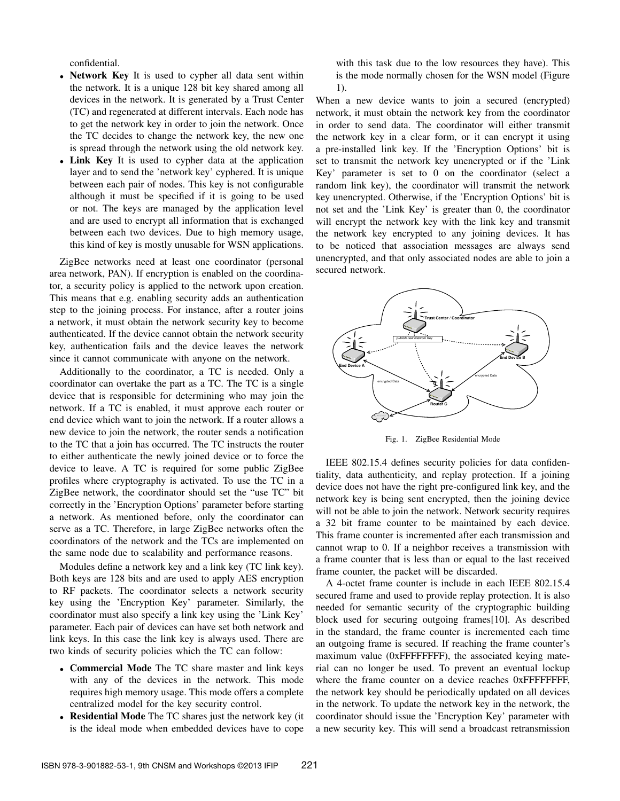confidential.

- Network Key It is used to cypher all data sent within the network. It is a unique 128 bit key shared among all devices in the network. It is generated by a Trust Center (TC) and regenerated at different intervals. Each node has to get the network key in order to join the network. Once the TC decides to change the network key, the new one is spread through the network using the old network key.
- Link Key It is used to cypher data at the application layer and to send the 'network key' cyphered. It is unique between each pair of nodes. This key is not configurable although it must be specified if it is going to be used or not. The keys are managed by the application level and are used to encrypt all information that is exchanged between each two devices. Due to high memory usage, this kind of key is mostly unusable for WSN applications.

ZigBee networks need at least one coordinator (personal area network, PAN). If encryption is enabled on the coordinator, a security policy is applied to the network upon creation. This means that e.g. enabling security adds an authentication step to the joining process. For instance, after a router joins a network, it must obtain the network security key to become authenticated. If the device cannot obtain the network security key, authentication fails and the device leaves the network since it cannot communicate with anyone on the network.

Additionally to the coordinator, a TC is needed. Only a coordinator can overtake the part as a TC. The TC is a single device that is responsible for determining who may join the network. If a TC is enabled, it must approve each router or end device which want to join the network. If a router allows a new device to join the network, the router sends a notification to the TC that a join has occurred. The TC instructs the router to either authenticate the newly joined device or to force the device to leave. A TC is required for some public ZigBee profiles where cryptography is activated. To use the TC in a ZigBee network, the coordinator should set the "use TC" bit correctly in the 'Encryption Options' parameter before starting a network. As mentioned before, only the coordinator can serve as a TC. Therefore, in large ZigBee networks often the coordinators of the network and the TCs are implemented on the same node due to scalability and performance reasons.

Modules define a network key and a link key (TC link key). Both keys are 128 bits and are used to apply AES encryption to RF packets. The coordinator selects a network security key using the 'Encryption Key' parameter. Similarly, the coordinator must also specify a link key using the 'Link Key' parameter. Each pair of devices can have set both network and link keys. In this case the link key is always used. There are two kinds of security policies which the TC can follow:

- Commercial Mode The TC share master and link keys with any of the devices in the network. This mode requires high memory usage. This mode offers a complete centralized model for the key security control.
- Residential Mode The TC shares just the network key (it is the ideal mode when embedded devices have to cope

with this task due to the low resources they have). This is the mode normally chosen for the WSN model (Figure 1).

When a new device wants to join a secured (encrypted) network, it must obtain the network key from the coordinator in order to send data. The coordinator will either transmit the network key in a clear form, or it can encrypt it using a pre-installed link key. If the 'Encryption Options' bit is set to transmit the network key unencrypted or if the 'Link Key' parameter is set to 0 on the coordinator (select a random link key), the coordinator will transmit the network key unencrypted. Otherwise, if the 'Encryption Options' bit is not set and the 'Link Key' is greater than 0, the coordinator will encrypt the network key with the link key and transmit the network key encrypted to any joining devices. It has to be noticed that association messages are always send unencrypted, and that only associated nodes are able to join a secured network.



Fig. 1. ZigBee Residential Mode

IEEE 802.15.4 defines security policies for data confidentiality, data authenticity, and replay protection. If a joining device does not have the right pre-configured link key, and the network key is being sent encrypted, then the joining device will not be able to join the network. Network security requires a 32 bit frame counter to be maintained by each device. This frame counter is incremented after each transmission and cannot wrap to 0. If a neighbor receives a transmission with a frame counter that is less than or equal to the last received frame counter, the packet will be discarded.

A 4-octet frame counter is include in each IEEE 802.15.4 secured frame and used to provide replay protection. It is also needed for semantic security of the cryptographic building block used for securing outgoing frames[10]. As described in the standard, the frame counter is incremented each time an outgoing frame is secured. If reaching the frame counter's maximum value (0xFFFFFFFF), the associated keying material can no longer be used. To prevent an eventual lockup where the frame counter on a device reaches 0xFFFFFFFFF, the network key should be periodically updated on all devices in the network. To update the network key in the network, the coordinator should issue the 'Encryption Key' parameter with a new security key. This will send a broadcast retransmission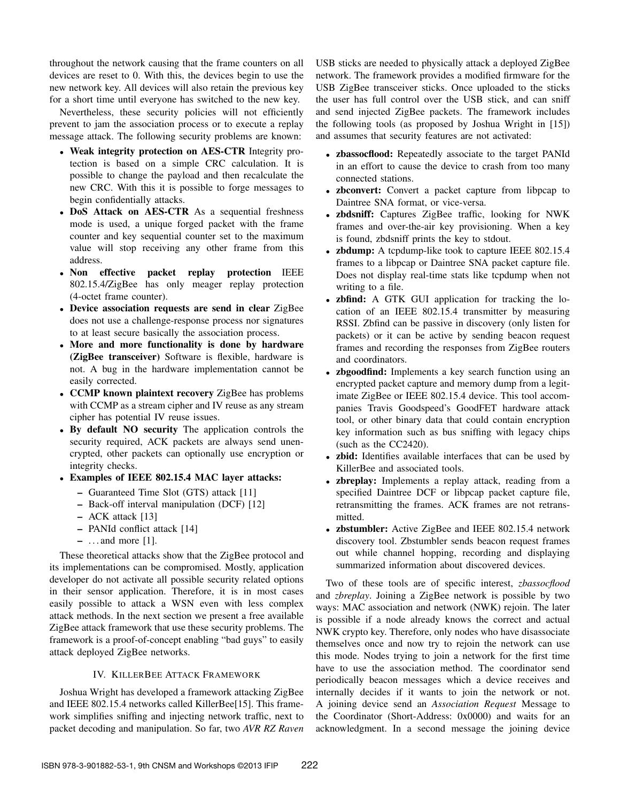throughout the network causing that the frame counters on all devices are reset to 0. With this, the devices begin to use the new network key. All devices will also retain the previous key for a short time until everyone has switched to the new key.

Nevertheless, these security policies will not efficiently prevent to jam the association process or to execute a replay message attack. The following security problems are known:

- Weak integrity protection on AES-CTR Integrity protection is based on a simple CRC calculation. It is possible to change the payload and then recalculate the new CRC. With this it is possible to forge messages to begin confidentially attacks.
- DoS Attack on AES-CTR As a sequential freshness mode is used, a unique forged packet with the frame counter and key sequential counter set to the maximum value will stop receiving any other frame from this address.
- Non effective packet replay protection IEEE 802.15.4/ZigBee has only meager replay protection (4-octet frame counter).
- Device association requests are send in clear ZigBee does not use a challenge-response process nor signatures to at least secure basically the association process.
- More and more functionality is done by hardware (ZigBee transceiver) Software is flexible, hardware is not. A bug in the hardware implementation cannot be easily corrected.
- CCMP known plaintext recovery ZigBee has problems with CCMP as a stream cipher and IV reuse as any stream cipher has potential IV reuse issues.
- By default NO security The application controls the security required, ACK packets are always send unencrypted, other packets can optionally use encryption or integrity checks.
- Examples of IEEE 802.15.4 MAC layer attacks:
	- Guaranteed Time Slot (GTS) attack [11]
	- Back-off interval manipulation (DCF) [12]
	- ACK attack [13]
	- PANId conflict attack [14]
	- $-$  ... and more [1].

These theoretical attacks show that the ZigBee protocol and its implementations can be compromised. Mostly, application developer do not activate all possible security related options in their sensor application. Therefore, it is in most cases easily possible to attack a WSN even with less complex attack methods. In the next section we present a free available ZigBee attack framework that use these security problems. The framework is a proof-of-concept enabling "bad guys" to easily attack deployed ZigBee networks.

# IV. KILLERBEE ATTACK FRAMEWORK

Joshua Wright has developed a framework attacking ZigBee and IEEE 802.15.4 networks called KillerBee[15]. This framework simplifies sniffing and injecting network traffic, next to packet decoding and manipulation. So far, two *AVR RZ Raven* USB sticks are needed to physically attack a deployed ZigBee network. The framework provides a modified firmware for the USB ZigBee transceiver sticks. Once uploaded to the sticks the user has full control over the USB stick, and can sniff and send injected ZigBee packets. The framework includes the following tools (as proposed by Joshua Wright in [15]) and assumes that security features are not activated:

- zbassocflood: Repeatedly associate to the target PANId in an effort to cause the device to crash from too many connected stations.
- zbconvert: Convert a packet capture from libpcap to Daintree SNA format, or vice-versa.
- zbdsniff: Captures ZigBee traffic, looking for NWK frames and over-the-air key provisioning. When a key is found, zbdsniff prints the key to stdout.
- zbdump: A tcpdump-like took to capture IEEE 802.15.4 frames to a libpcap or Daintree SNA packet capture file. Does not display real-time stats like tcpdump when not writing to a file.
- zbfind: A GTK GUI application for tracking the location of an IEEE 802.15.4 transmitter by measuring RSSI. Zbfind can be passive in discovery (only listen for packets) or it can be active by sending beacon request frames and recording the responses from ZigBee routers and coordinators.
- zbgoodfind: Implements a key search function using an encrypted packet capture and memory dump from a legitimate ZigBee or IEEE 802.15.4 device. This tool accompanies Travis Goodspeed's GoodFET hardware attack tool, or other binary data that could contain encryption key information such as bus sniffing with legacy chips (such as the CC2420).
- zbid: Identifies available interfaces that can be used by KillerBee and associated tools.
- zbreplay: Implements a replay attack, reading from a specified Daintree DCF or libpcap packet capture file, retransmitting the frames. ACK frames are not retransmitted.
- zbstumbler: Active ZigBee and IEEE 802.15.4 network discovery tool. Zbstumbler sends beacon request frames out while channel hopping, recording and displaying summarized information about discovered devices.

Two of these tools are of specific interest, *zbassocflood* and *zbreplay*. Joining a ZigBee network is possible by two ways: MAC association and network (NWK) rejoin. The later is possible if a node already knows the correct and actual NWK crypto key. Therefore, only nodes who have disassociate themselves once and now try to rejoin the network can use this mode. Nodes trying to join a network for the first time have to use the association method. The coordinator send periodically beacon messages which a device receives and internally decides if it wants to join the network or not. A joining device send an *Association Request* Message to the Coordinator (Short-Address: 0x0000) and waits for an acknowledgment. In a second message the joining device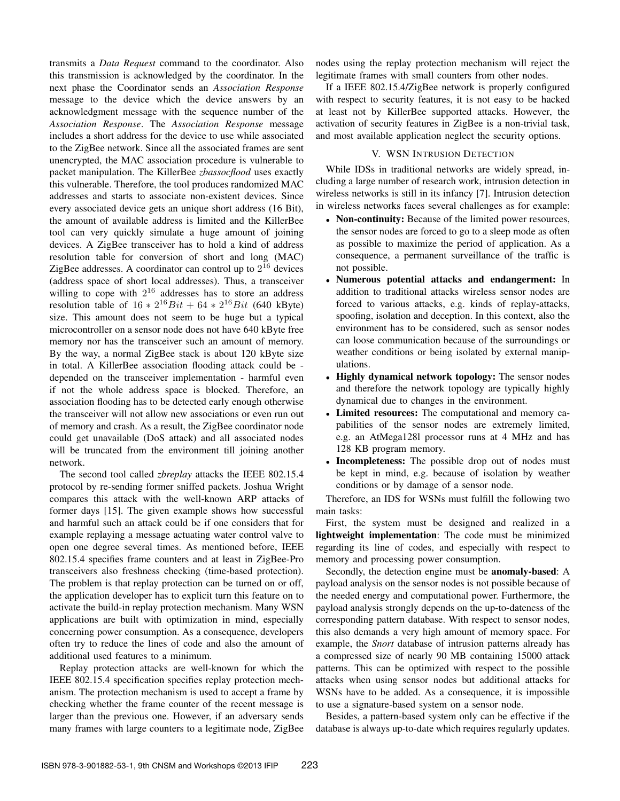transmits a *Data Request* command to the coordinator. Also this transmission is acknowledged by the coordinator. In the next phase the Coordinator sends an *Association Response* message to the device which the device answers by an acknowledgment message with the sequence number of the *Association Response*. The *Association Response* message includes a short address for the device to use while associated to the ZigBee network. Since all the associated frames are sent unencrypted, the MAC association procedure is vulnerable to packet manipulation. The KillerBee *zbassocflood* uses exactly this vulnerable. Therefore, the tool produces randomized MAC addresses and starts to associate non-existent devices. Since every associated device gets an unique short address (16 Bit), the amount of available address is limited and the KillerBee tool can very quickly simulate a huge amount of joining devices. A ZigBee transceiver has to hold a kind of address resolution table for conversion of short and long (MAC) ZigBee addresses. A coordinator can control up to  $2^{16}$  devices (address space of short local addresses). Thus, a transceiver willing to cope with  $2^{16}$  addresses has to store an address resolution table of  $16 \times 2^{16}Bit + 64 \times 2^{16} Bit$  (640 kByte) size. This amount does not seem to be huge but a typical microcontroller on a sensor node does not have 640 kByte free memory nor has the transceiver such an amount of memory. By the way, a normal ZigBee stack is about 120 kByte size in total. A KillerBee association flooding attack could be depended on the transceiver implementation - harmful even if not the whole address space is blocked. Therefore, an association flooding has to be detected early enough otherwise the transceiver will not allow new associations or even run out of memory and crash. As a result, the ZigBee coordinator node could get unavailable (DoS attack) and all associated nodes will be truncated from the environment till joining another network.

The second tool called *zbreplay* attacks the IEEE 802.15.4 protocol by re-sending former sniffed packets. Joshua Wright compares this attack with the well-known ARP attacks of former days [15]. The given example shows how successful and harmful such an attack could be if one considers that for example replaying a message actuating water control valve to open one degree several times. As mentioned before, IEEE 802.15.4 specifies frame counters and at least in ZigBee-Pro transceivers also freshness checking (time-based protection). The problem is that replay protection can be turned on or off, the application developer has to explicit turn this feature on to activate the build-in replay protection mechanism. Many WSN applications are built with optimization in mind, especially concerning power consumption. As a consequence, developers often try to reduce the lines of code and also the amount of additional used features to a minimum.

Replay protection attacks are well-known for which the IEEE 802.15.4 specification specifies replay protection mechanism. The protection mechanism is used to accept a frame by checking whether the frame counter of the recent message is larger than the previous one. However, if an adversary sends many frames with large counters to a legitimate node, ZigBee nodes using the replay protection mechanism will reject the legitimate frames with small counters from other nodes.

If a IEEE 802.15.4/ZigBee network is properly configured with respect to security features, it is not easy to be hacked at least not by KillerBee supported attacks. However, the activation of security features in ZigBee is a non-trivial task, and most available application neglect the security options.

#### V. WSN INTRUSION DETECTION

While IDSs in traditional networks are widely spread, including a large number of research work, intrusion detection in wireless networks is still in its infancy [7]. Intrusion detection in wireless networks faces several challenges as for example:

- Non-continuity: Because of the limited power resources, the sensor nodes are forced to go to a sleep mode as often as possible to maximize the period of application. As a consequence, a permanent surveillance of the traffic is not possible.
- Numerous potential attacks and endangerment: In addition to traditional attacks wireless sensor nodes are forced to various attacks, e.g. kinds of replay-attacks, spoofing, isolation and deception. In this context, also the environment has to be considered, such as sensor nodes can loose communication because of the surroundings or weather conditions or being isolated by external manipulations.
- Highly dynamical network topology: The sensor nodes and therefore the network topology are typically highly dynamical due to changes in the environment.
- Limited resources: The computational and memory capabilities of the sensor nodes are extremely limited, e.g. an AtMega128l processor runs at 4 MHz and has 128 KB program memory.
- Incompleteness: The possible drop out of nodes must be kept in mind, e.g. because of isolation by weather conditions or by damage of a sensor node.

Therefore, an IDS for WSNs must fulfill the following two main tasks:

First, the system must be designed and realized in a lightweight implementation: The code must be minimized regarding its line of codes, and especially with respect to memory and processing power consumption.

Secondly, the detection engine must be anomaly-based: A payload analysis on the sensor nodes is not possible because of the needed energy and computational power. Furthermore, the payload analysis strongly depends on the up-to-dateness of the corresponding pattern database. With respect to sensor nodes, this also demands a very high amount of memory space. For example, the *Snort* database of intrusion patterns already has a compressed size of nearly 90 MB containing 15000 attack patterns. This can be optimized with respect to the possible attacks when using sensor nodes but additional attacks for WSNs have to be added. As a consequence, it is impossible to use a signature-based system on a sensor node.

Besides, a pattern-based system only can be effective if the database is always up-to-date which requires regularly updates.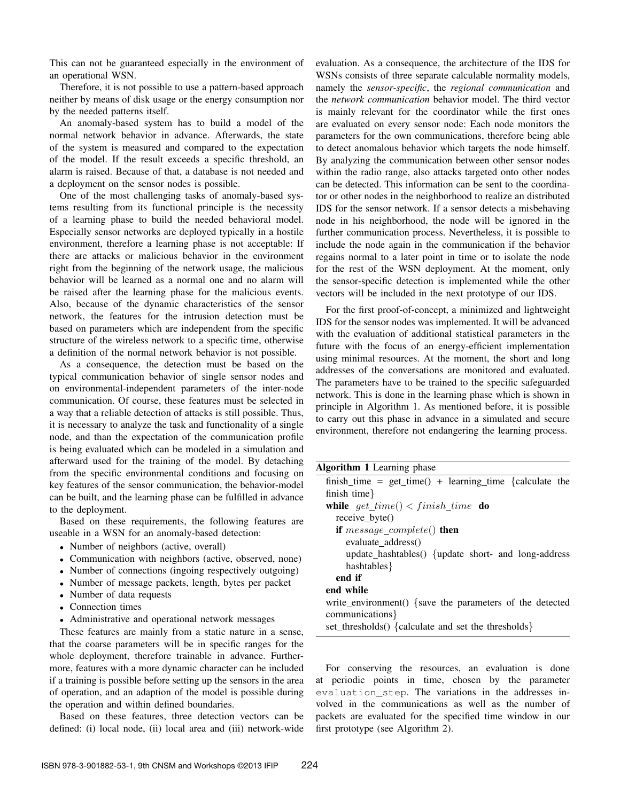This can not be guaranteed especially in the environment of an operational WSN.

Therefore, it is not possible to use a pattern-based approach neither by means of disk usage or the energy consumption nor by the needed patterns itself.

An anomaly-based system has to build a model of the normal network behavior in advance. Afterwards, the state of the system is measured and compared to the expectation of the model. If the result exceeds a specific threshold, an alarm is raised. Because of that, a database is not needed and a deployment on the sensor nodes is possible.

One of the most challenging tasks of anomaly-based systems resulting from its functional principle is the necessity of a learning phase to build the needed behavioral model. Especially sensor networks are deployed typically in a hostile environment, therefore a learning phase is not acceptable: If there are attacks or malicious behavior in the environment right from the beginning of the network usage, the malicious behavior will be learned as a normal one and no alarm will be raised after the learning phase for the malicious events. Also, because of the dynamic characteristics of the sensor network, the features for the intrusion detection must be based on parameters which are independent from the specific structure of the wireless network to a specific time, otherwise a definition of the normal network behavior is not possible.

As a consequence, the detection must be based on the typical communication behavior of single sensor nodes and on environmental-independent parameters of the inter-node communication. Of course, these features must be selected in a way that a reliable detection of attacks is still possible. Thus, it is necessary to analyze the task and functionality of a single node, and than the expectation of the communication profile is being evaluated which can be modeled in a simulation and afterward used for the training of the model. By detaching from the specific environmental conditions and focusing on key features of the sensor communication, the behavior-model can be built, and the learning phase can be fulfilled in advance to the deployment.

Based on these requirements, the following features are useable in a WSN for an anomaly-based detection:

- Number of neighbors (active, overall)
- Communication with neighbors (active, observed, none)
- Number of connections (ingoing respectively outgoing)
- Number of message packets, length, bytes per packet
- Number of data requests
- Connection times
- Administrative and operational network messages

These features are mainly from a static nature in a sense, that the coarse parameters will be in specific ranges for the whole deployment, therefore trainable in advance. Furthermore, features with a more dynamic character can be included if a training is possible before setting up the sensors in the area of operation, and an adaption of the model is possible during the operation and within defined boundaries.

Based on these features, three detection vectors can be defined: (i) local node, (ii) local area and (iii) network-wide evaluation. As a consequence, the architecture of the IDS for WSNs consists of three separate calculable normality models, namely the *sensor-specific*, the *regional communication* and the *network communication* behavior model. The third vector is mainly relevant for the coordinator while the first ones are evaluated on every sensor node: Each node monitors the parameters for the own communications, therefore being able to detect anomalous behavior which targets the node himself. By analyzing the communication between other sensor nodes within the radio range, also attacks targeted onto other nodes can be detected. This information can be sent to the coordinator or other nodes in the neighborhood to realize an distributed IDS for the sensor network. If a sensor detects a misbehaving node in his neighborhood, the node will be ignored in the further communication process. Nevertheless, it is possible to include the node again in the communication if the behavior regains normal to a later point in time or to isolate the node for the rest of the WSN deployment. At the moment, only the sensor-specific detection is implemented while the other vectors will be included in the next prototype of our IDS.

For the first proof-of-concept, a minimized and lightweight IDS for the sensor nodes was implemented. It will be advanced with the evaluation of additional statistical parameters in the future with the focus of an energy-efficient implementation using minimal resources. At the moment, the short and long addresses of the conversations are monitored and evaluated. The parameters have to be trained to the specific safeguarded network. This is done in the learning phase which is shown in principle in Algorithm 1. As mentioned before, it is possible to carry out this phase in advance in a simulated and secure environment, therefore not endangering the learning process.

For conserving the resources, an evaluation is done at periodic points in time, chosen by the parameter evaluation\_step. The variations in the addresses involved in the communications as well as the number of packets are evaluated for the specified time window in our first prototype (see Algorithm 2).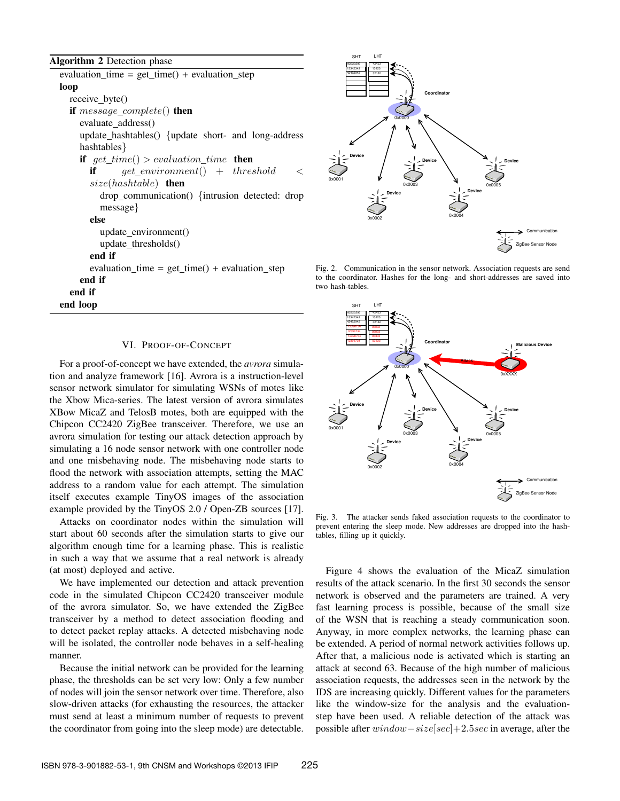Algorithm 2 Detection phase

| evaluation_time = $get_time() + evaluation\_step$   |
|-----------------------------------------------------|
| loop                                                |
| receive $byte()$                                    |
| <b>if</b> message_complete() <b>then</b>            |
| evaluate_address()                                  |
| update_hashtables() {update short- and long-address |
| $hashtables\}$                                      |
| <b>if</b> $get\_time() > evaluation\_time$ then     |
| $get\_environment() + threshold$<br>if<br>$\,<\,$   |
| $size(hashtable)$ then                              |
| drop_communication() {intrusion detected: drop      |
| message}                                            |
| else                                                |
| update environment()                                |
| update thresholds $()$                              |
| end if                                              |
| evaluation_time = $get_time() + evaluation\_step$   |
| end if                                              |
| end if                                              |
| end loop                                            |

## VI. PROOF-OF-CONCEPT

For a proof-of-concept we have extended, the *avrora* simulation and analyze framework [16]. Avrora is a instruction-level sensor network simulator for simulating WSNs of motes like the Xbow Mica-series. The latest version of avrora simulates XBow MicaZ and TelosB motes, both are equipped with the Chipcon CC2420 ZigBee transceiver. Therefore, we use an avrora simulation for testing our attack detection approach by simulating a 16 node sensor network with one controller node and one misbehaving node. The misbehaving node starts to flood the network with association attempts, setting the MAC address to a random value for each attempt. The simulation itself executes example TinyOS images of the association example provided by the TinyOS 2.0 / Open-ZB sources [17].

Attacks on coordinator nodes within the simulation will start about 60 seconds after the simulation starts to give our algorithm enough time for a learning phase. This is realistic in such a way that we assume that a real network is already (at most) deployed and active.

We have implemented our detection and attack prevention code in the simulated Chipcon CC2420 transceiver module of the avrora simulator. So, we have extended the ZigBee transceiver by a method to detect association flooding and to detect packet replay attacks. A detected misbehaving node will be isolated, the controller node behaves in a self-healing manner.

Because the initial network can be provided for the learning phase, the thresholds can be set very low: Only a few number of nodes will join the sensor network over time. Therefore, also slow-driven attacks (for exhausting the resources, the attacker must send at least a minimum number of requests to prevent the coordinator from going into the sleep mode) are detectable.



Fig. 2. Communication in the sensor network. Association requests are send to the coordinator. Hashes for the long- and short-addresses are saved into two hash-tables.



Fig. 3. The attacker sends faked association requests to the coordinator to prevent entering the sleep mode. New addresses are dropped into the hashtables, filling up it quickly.

Figure 4 shows the evaluation of the MicaZ simulation results of the attack scenario. In the first 30 seconds the sensor network is observed and the parameters are trained. A very fast learning process is possible, because of the small size of the WSN that is reaching a steady communication soon. Anyway, in more complex networks, the learning phase can be extended. A period of normal network activities follows up. After that, a malicious node is activated which is starting an attack at second 63. Because of the high number of malicious association requests, the addresses seen in the network by the IDS are increasing quickly. Different values for the parameters like the window-size for the analysis and the evaluationstep have been used. A reliable detection of the attack was possible after window−size[sec]+2.5sec in average, after the